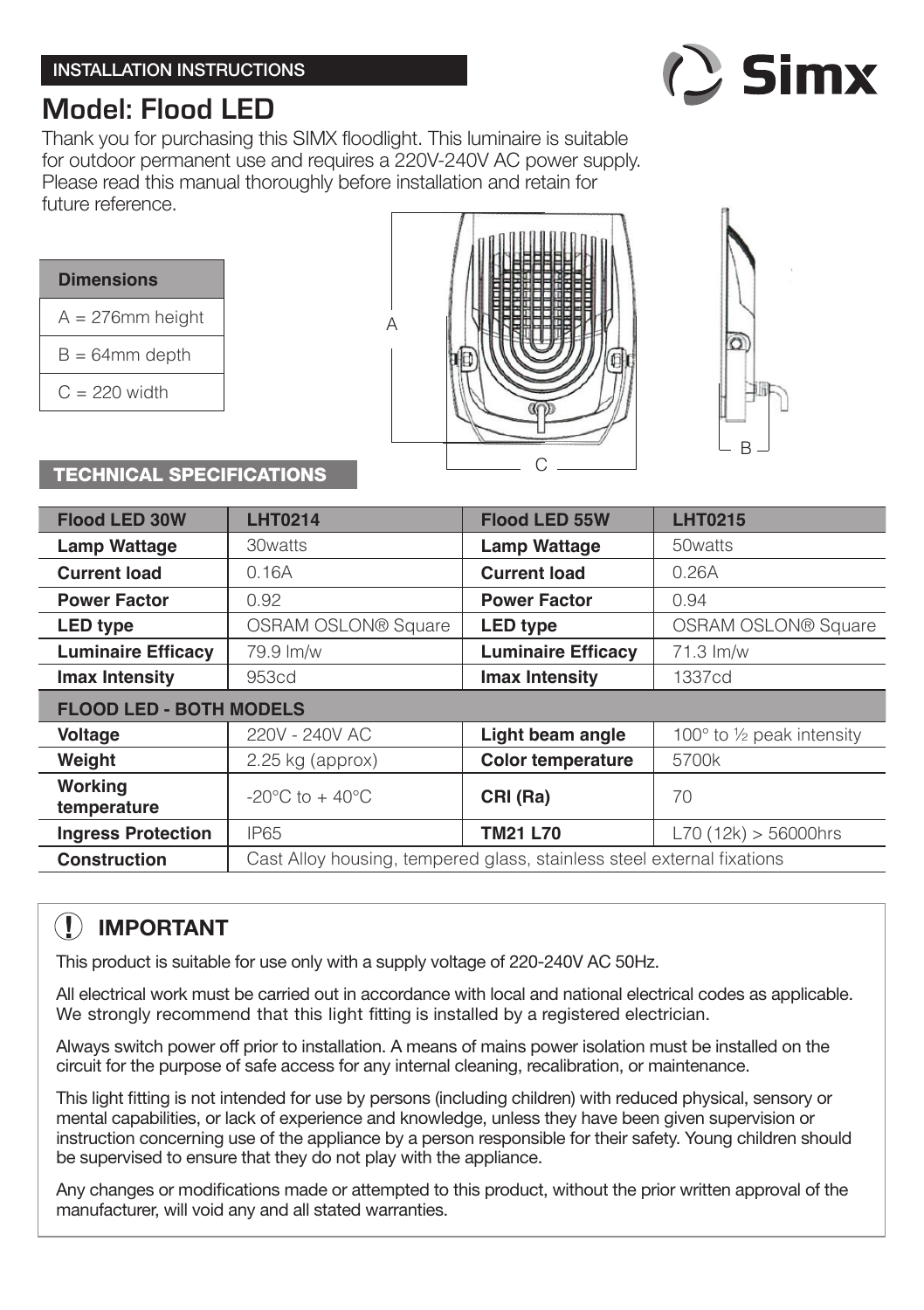

# **Model: Flood LED**

Thank you for purchasing this SIMX floodlight. This luminaire is suitable for outdoor permanent use and requires a 220V-240V AC power supply. Please read this manual thoroughly before installation and retain for future reference.

| <b>Dimensions</b>   |  |  |  |  |
|---------------------|--|--|--|--|
| $A = 276$ mm height |  |  |  |  |
| $B = 64$ mm depth   |  |  |  |  |
| $C = 220$ width     |  |  |  |  |





#### TECHNICAL SPECIFICATIONS

| <b>Flood LED 30W</b>           | <b>LHT0214</b>                                                         | <b>Flood LED 55W</b>      | <b>LHT0215</b>                      |  |
|--------------------------------|------------------------------------------------------------------------|---------------------------|-------------------------------------|--|
| <b>Lamp Wattage</b>            | 30watts                                                                | <b>Lamp Wattage</b>       | 50 watts                            |  |
| <b>Current load</b>            | 0.16A                                                                  | <b>Current load</b>       | 0.26A                               |  |
| <b>Power Factor</b>            | 0.92                                                                   | <b>Power Factor</b>       | 0.94                                |  |
| <b>LED type</b>                | OSRAM OSLON® Square                                                    | <b>LED type</b>           | <b>OSRAM OSLON® Square</b>          |  |
| <b>Luminaire Efficacy</b>      | 79.9 lm/w                                                              | <b>Luminaire Efficacy</b> | $71.3 \text{ Im/w}$                 |  |
| Imax Intensity                 | 953cd                                                                  | Imax Intensity            | 1337cd                              |  |
| <b>FLOOD LED - BOTH MODELS</b> |                                                                        |                           |                                     |  |
| Voltage                        | 220V - 240V AC                                                         | Light beam angle          | 100 $\degree$ to 1/2 peak intensity |  |
| Weight                         | $2.25$ kg (approx)                                                     | <b>Color temperature</b>  | 5700k                               |  |
| Working<br>temperature         | $-20^{\circ}$ C to $+40^{\circ}$ C                                     | CRI (Ra)                  | 70                                  |  |
| <b>Ingress Protection</b>      | <b>IP65</b>                                                            | <b>TM21 L70</b>           | L70(12k) > 56000hrs                 |  |
| <b>Construction</b>            | Cast Alloy housing, tempered glass, stainless steel external fixations |                           |                                     |  |

## **IMPORTANT**

This product is suitable for use only with a supply voltage of 220-240V AC 50Hz.

All electrical work must be carried out in accordance with local and national electrical codes as applicable. We strongly recommend that this light fitting is installed by a registered electrician.

Always switch power off prior to installation. A means of mains power isolation must be installed on the circuit for the purpose of safe access for any internal cleaning, recalibration, or maintenance.

This light fitting is not intended for use by persons (including children) with reduced physical, sensory or mental capabilities, or lack of experience and knowledge, unless they have been given supervision or instruction concerning use of the appliance by a person responsible for their safety. Young children should be supervised to ensure that they do not play with the appliance.

Any changes or modifications made or attempted to this product, without the prior written approval of the manufacturer, will void any and all stated warranties.